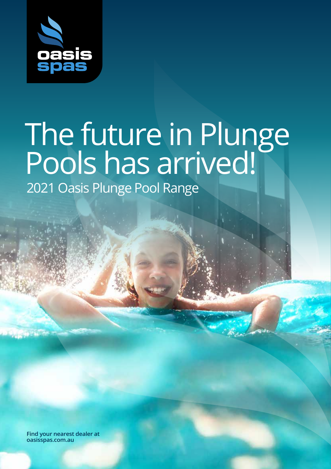

# The future in Plunge Pools has arrived!

2021 Oasis Plunge Pool Range

**Find your nearest dealer at oasisspas.com.au**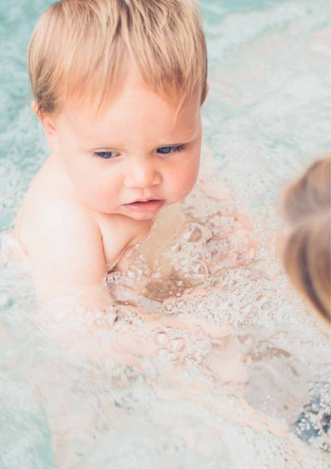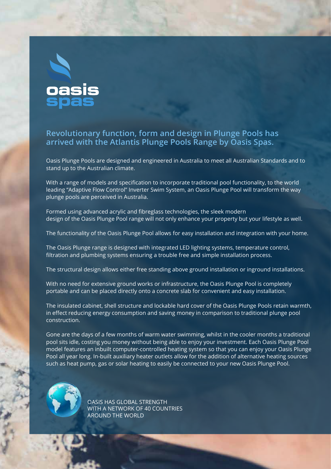

#### **Revolutionary function, form and design in Plunge Pools has arrived with the Atlantis Plunge Pools Range by Oasis Spas.**

Oasis Plunge Pools are designed and engineered in Australia to meet all Australian Standards and to stand up to the Australian climate.

With a range of models and specification to incorporate traditional pool functionality, to the world leading "Adaptive Flow Control" Inverter Swim System, an Oasis Plunge Pool will transform the way plunge pools are perceived in Australia.

Formed using advanced acrylic and fibreglass technologies, the sleek modern design of the Oasis Plunge Pool range will not only enhance your property but your lifestyle as well.

The functionality of the Oasis Plunge Pool allows for easy installation and integration with your home.

The Oasis Plunge range is designed with integrated LED lighting systems, temperature control, filtration and plumbing systems ensuring a trouble free and simple installation process.

The structural design allows either free standing above ground installation or inground installations.

With no need for extensive ground works or infrastructure, the Oasis Plunge Pool is completely portable and can be placed directly onto a concrete slab for convenient and easy installation.

The insulated cabinet, shell structure and lockable hard cover of the Oasis Plunge Pools retain warmth, in effect reducing energy consumption and saving money in comparison to traditional plunge pool construction.

Gone are the days of a few months of warm water swimming, whilst in the cooler months a traditional pool sits idle, costing you money without being able to enjoy your investment. Each Oasis Plunge Pool model features an inbuilt computer-controlled heating system so that you can enjoy your Oasis Plunge Pool all year long. In-built auxiliary heater outlets allow for the addition of alternative heating sources such as heat pump, gas or solar heating to easily be connected to your new Oasis Plunge Pool.



OASIS HAS GLOBAL STRENGTH WITH A NETWORK OF 40 COUNTRIES AROUND THE WORLD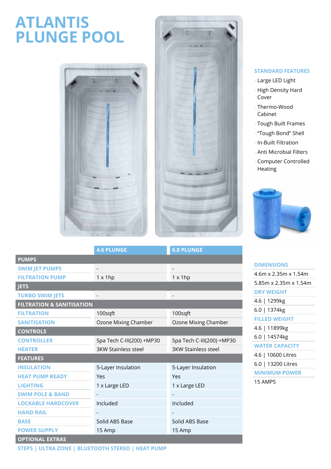# **ATLANTIS PLUNGE POOL**





#### **STANDARD FEATURES**

- ۰Large LED Light
- ۰High Density Hard Cover
- ۰Thermo-Wood Cabinet
- ۰Tough Built Frames
- ۰"Tough Bond" Shell
- ۰In-Built Filtration
- ۰Anti Microbial Filters
- ۰Computer Controlled **Heating**



|                                      | <b>6.0 PLUNGE</b><br><b>4.6 PLUNGE</b> |                            |  |
|--------------------------------------|----------------------------------------|----------------------------|--|
| <b>PUMPS</b>                         |                                        |                            |  |
| <b>SWIM JET PUMPS</b>                |                                        |                            |  |
| <b>FILTRATION PUMP</b>               | $1 \times 1$ hp                        | $1 \times 1$ hp            |  |
| <b>JETS</b>                          |                                        |                            |  |
| <b>TURBO SWIM JETS</b>               |                                        | $\overline{\phantom{a}}$   |  |
| <b>FILTRATION &amp; SANITISATION</b> |                                        |                            |  |
| <b>FILTRATION</b>                    | 100sqft                                | 100sqft                    |  |
| <b>SANITISATION</b>                  | Ozone Mixing Chamber                   | Ozone Mixing Chamber       |  |
| <b>CONTROLS</b>                      |                                        |                            |  |
| <b>CONTROLLER</b>                    | Spa Tech C-III(200) +MP30              | Spa Tech C-III(200) +MP30  |  |
| <b>HEATER</b>                        | <b>3KW Stainless steel</b>             | <b>3KW Stainless steel</b> |  |
| <b>FEATURES</b>                      |                                        |                            |  |
| <b>INSULATION</b>                    | 5-Layer Insulation                     | 5-Layer Insulation         |  |
| <b>HEAT PUMP READY</b>               | Yes                                    | Yes                        |  |
| <b>LIGHTING</b>                      | 1 x Large LED                          | 1 x Large LED              |  |
| <b>SWIM POLE &amp; BAND</b>          |                                        |                            |  |
| <b>LOCKABLE HARDCOVER</b>            | Included                               | Included                   |  |
| <b>HAND RAIL</b>                     |                                        |                            |  |
| <b>BASE</b>                          | Solid ABS Base                         | Solid ABS Base             |  |
| <b>POWER SUPPLY</b>                  | 15 Amp                                 | 15 Amp                     |  |
| <b>OPTIONAL EXTRAS</b>               |                                        |                            |  |

#### **DIMENSIONS**

| 4.6m x 2.35m x 1.54m              |  |  |  |
|-----------------------------------|--|--|--|
| $5.85m \times 2.35m \times 1.54m$ |  |  |  |
| <b>DRY WEIGHT</b>                 |  |  |  |
| 4.6   1299kg                      |  |  |  |
| 6.0   1374kg                      |  |  |  |
| <b>FILLED WEIGHT</b>              |  |  |  |
| 4.6   11899kg                     |  |  |  |
| 6.0   14574kg                     |  |  |  |
| <b>WATER CAPACITY</b>             |  |  |  |
| 4.6   10600 Litres                |  |  |  |
| 6.0   13200 Litres                |  |  |  |
| <b>MINIMUM POWER</b>              |  |  |  |
| 15 AMPS                           |  |  |  |

**STEPS | ULTRA ZONE | BLUETOOTH STEREO | HEAT PUMP**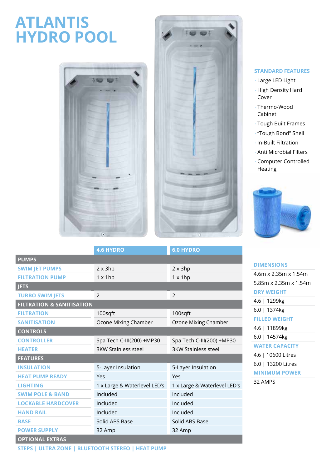# **ATLANTIS HYDRO POOL**





#### **STANDARD FEATURES**

- ۰Large LED Light
- ۰High Density Hard Cover
- ۰Thermo-Wood Cabinet
- ۰Tough Built Frames
- ۰"Tough Bond" Shell
- ۰In-Built Filtration
- ۰Anti Microbial Filters
- ۰Computer Controlled **Heating**



|                                      | <b>4.6 HYDRO</b>             | <b>6.0 HYDRO</b>             |  |  |  |
|--------------------------------------|------------------------------|------------------------------|--|--|--|
| <b>PUMPS</b>                         |                              |                              |  |  |  |
| <b>SWIM JET PUMPS</b>                | $2 \times 3$ hp              | $2 \times 3$ hp              |  |  |  |
| <b>FILTRATION PUMP</b>               | $1 \times 1$ hp              | $1 \times 1$ hp              |  |  |  |
| <b>JETS</b>                          |                              |                              |  |  |  |
| <b>TURBO SWIM JETS</b>               | $\mathfrak{D}$               | $\overline{2}$               |  |  |  |
| <b>FILTRATION &amp; SANITISATION</b> |                              |                              |  |  |  |
| <b>FILTRATION</b>                    | 100sqft                      | 100sqft                      |  |  |  |
| <b>SANITISATION</b>                  | Ozone Mixing Chamber         | Ozone Mixing Chamber         |  |  |  |
| <b>CONTROLS</b>                      |                              |                              |  |  |  |
| <b>CONTROLLER</b>                    | Spa Tech C-III(200) +MP30    | Spa Tech C-III(200) +MP30    |  |  |  |
| <b>HEATER</b>                        | <b>3KW Stainless steel</b>   | <b>3KW Stainless steel</b>   |  |  |  |
| <b>FEATURES</b>                      |                              |                              |  |  |  |
| <b>INSULATION</b>                    | 5-Layer Insulation           | 5-Layer Insulation           |  |  |  |
| <b>HEAT PUMP READY</b>               | Yes                          | Yes                          |  |  |  |
| <b>LIGHTING</b>                      | 1 x Large & Waterlevel LED's | 1 x Large & Waterlevel LED's |  |  |  |
| <b>SWIM POLE &amp; BAND</b>          | Included                     | Included                     |  |  |  |
| <b>LOCKABLE HARDCOVER</b>            | Included                     | Included                     |  |  |  |
| <b>HAND RAIL</b>                     | Included                     | Included                     |  |  |  |
| <b>BASE</b>                          | Solid ABS Base               | Solid ABS Base               |  |  |  |
| <b>POWER SUPPLY</b>                  | 32 Amp                       | 32 Amp                       |  |  |  |
| <b>OPTIONAL EXTRAS</b>               |                              |                              |  |  |  |

**DIMENSIONS**

| 4.6m x 2.35m x 1.54m  |  |  |  |  |
|-----------------------|--|--|--|--|
| 5.85m x 2.35m x 1.54m |  |  |  |  |
| <b>DRY WEIGHT</b>     |  |  |  |  |
| 4.6   1299kg          |  |  |  |  |
| 6.0   1374kg          |  |  |  |  |
| <b>FILLED WEIGHT</b>  |  |  |  |  |
| 4.6   11899kg         |  |  |  |  |
| 6.0   14574kg         |  |  |  |  |
| <b>WATER CAPACITY</b> |  |  |  |  |
| 4.6   10600 Litres    |  |  |  |  |
| 6.0   13200 Litres    |  |  |  |  |
| <b>MINIMUM POWER</b>  |  |  |  |  |
| 32 AMPS               |  |  |  |  |

**STEPS | ULTRA ZONE | BLUETOOTH STEREO | HEAT PUMP**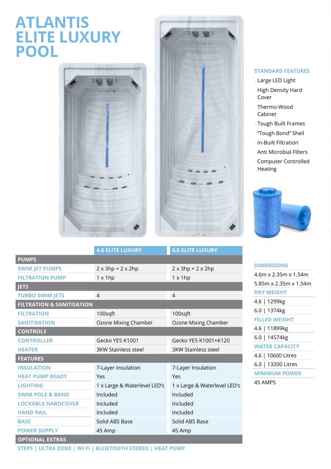# **ATLANTIS ELITE LUXURY POOL**





#### **STANDARD FEATURES**

- ۰Large LED Light
- ۰High Density Hard Cover
- ۰Thermo-Wood Cabinet
- ۰Tough Built Frames
- ۰"Tough Bond" Shell
- ۰In-Built Filtration
- ۰Anti Microbial Filters
- ۰Computer Controlled **Heating**



|                                      | <b>4.6 ELITE LUXURY</b>           | <b>6.0 ELITE LUXURY</b>           |                       |
|--------------------------------------|-----------------------------------|-----------------------------------|-----------------------|
| <b>PUMPS</b>                         |                                   |                                   |                       |
| <b>SWIM JET PUMPS</b>                | $2 \times 3$ hp + $2 \times 2$ hp | $2 \times 3$ hp + $2 \times 2$ hp | <b>DIMENSIONS</b>     |
| <b>FILTRATION PUMP</b>               | $1 \times 1$ hp                   | $1 \times 1$ hp                   | 4.6m x 2.35m x 1.54m  |
| <b>JETS</b>                          |                                   |                                   | 5.85m x 2.35m x 1.54n |
| <b>TURBO SWIM JETS</b>               | $\overline{4}$                    | $\overline{4}$                    | <b>DRY WEIGHT</b>     |
| <b>FILTRATION &amp; SANITISATION</b> |                                   |                                   | 4.6   1299kg          |
| <b>FILTRATION</b>                    | 100sqft                           | 100sqft                           | 6.0   1374kg          |
| <b>SANITISATION</b>                  | Ozone Mixing Chamber              | Ozone Mixing Chamber              | <b>FILLED WEIGHT</b>  |
| <b>CONTROLS</b>                      |                                   |                                   | 4.6   11899kg         |
| <b>CONTROLLER</b>                    | Gecko YE5 K1001                   | Gecko YE5 K1001+K120              | 6.0   14574kg         |
| <b>HEATER</b>                        | <b>3KW Stainless steel</b>        | <b>3KW Stainless steel</b>        | <b>WATER CAPACITY</b> |
| <b>FEATURES</b>                      |                                   |                                   | 4.6   10600 Litres    |
| <b>INSULATION</b>                    | 7-Layer Insulation                | 7-Layer Insulation                | 6.0   13200 Litres    |
| <b>HEAT PUMP READY</b>               | <b>Yes</b>                        | Yes                               | <b>MINIMUM POWER</b>  |
| <b>LIGHTING</b>                      | 1 x Large & Waterlevel LED's      | 1 x Large & Waterlevel LED's      | 45 AMPS               |
| <b>SWIM POLE &amp; BAND</b>          | Included                          | Included                          |                       |
| <b>LOCKABLE HARDCOVER</b>            | Included                          | Included                          |                       |
| <b>HAND RAIL</b>                     | Included                          | Included                          |                       |
| <b>BASE</b>                          | Solid ABS Base                    | Solid ABS Base                    |                       |
| <b>POWER SUPPLY</b>                  | 45 Amp                            | 45 Amp                            |                       |
| <b>OPTIONAL EXTRAS</b>               |                                   |                                   |                       |

5.85m x 2.35m x 1.54m **RY WEIGHT** 4.6 | 1299kg 6.0 | 1374kg **FILLED WEIGHT** 4.6 | 11899kg 6.0 | 14574kg **WATER CAPACITY** 4.6 | 10600 Litres 6.0 | 13200 Litres **MINIMUM POWER** 5 AMPS

**STEPS | ULTRA ZONE | WI FI | BLUETOOTH STEREO | HEAT PUMP**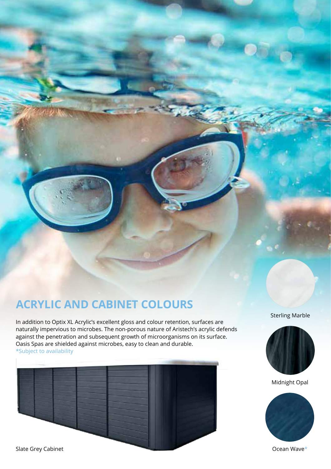## **ACRYLIC AND CABINET COLOURS**

In addition to Optix XL Acrylic's excellent gloss and colour retention, surfaces are naturally impervious to microbes. The non-porous nature of Aristech's acrylic defends against the penetration and subsequent growth of microorganisms on its surface. Oasis Spas are shielded against microbes, easy to clean and durable. \*Subject to availability



Sterling Marble







Ocean Wave\*

Slate Grey Cabinet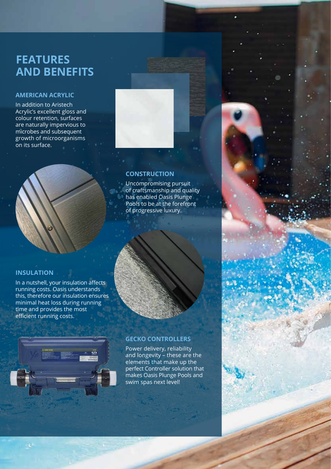### **FEATURES AND BENEFITS**

#### **AMERICAN ACRYLIC**

In addition to Aristech Acrylic's excellent gloss and colour retention, surfaces are naturally impervious to microbes and subsequent growth of microorganisms on its surface.



#### **CONSTRUCTION**

Uncompromising pursuit of craftsmanship and quality has enabled Oasis Plunge Pools to be at the forefront of progressive luxury.

#### **INSULATION**

**ILL** 

In a nutshell, your insulation affects running costs. Oasis understands this, therefore our insulation ensures minimal heat loss during running time and provides the most efficient running costs.



Power delivery, reliability and longevity – these are the elements that make up the perfect Controller solution that makes Oasis Plunge Pools and swim spas next level!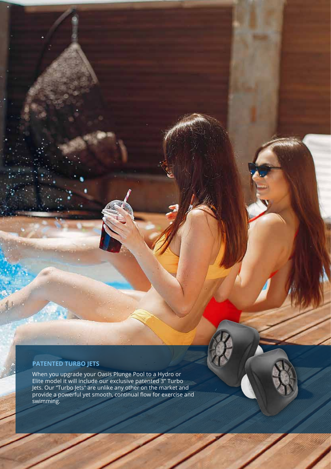#### **PATENTED TURBO JETS**

When you upgrade your Oasis Plunge Pool to a Hydro or Elite model it will include our exclusive patented 3" Turbo Jets. Our "Turbo Jets" are unlike any other on the market and provide a powerful yet smooth, continual flow for exercise and swimming.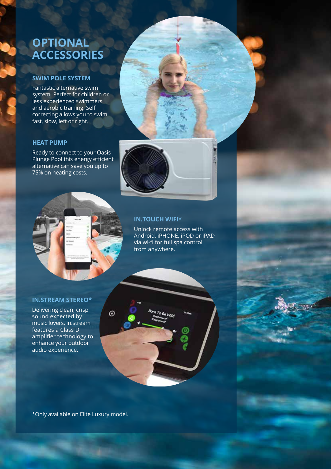### **OPTIONAL ACCESSORIES**

#### **SWIM POLE SYSTEM**

Fantastic alternative swim system. Perfect for children or less experienced swimmers and aerobic training. Self correcting allows you to swim fast, slow, left or right.

#### **HEAT PUMP**

Ready to connect to your Oasis Plunge Pool this energy efficient alternative can save you up to 75% on heating costs.





#### **IN.TOUCH WIFI\***

Unlock remote access with Android, iPHONE, iPOD or iPAD via wi-fi for full spa control from anywhere.

#### **IN.STREAM STEREO\***

Delivering clean, crisp sound expected by music lovers, in.stream features a Class D amplifier technology to enhance your outdoor audio experience.



\*Only available on Elite Luxury model.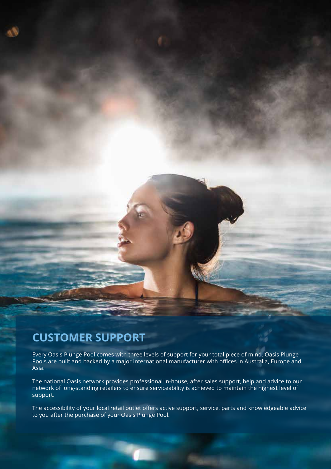### **CUSTOMER SUPPORT**

Every Oasis Plunge Pool comes with three levels of support for your total piece of mind. Oasis Plunge Pools are built and backed by a major international manufacturer with offices in Australia, Europe and Asia.

The national Oasis network provides professional in-house, after sales support, help and advice to our network of long-standing retailers to ensure serviceability is achieved to maintain the highest level of support.

The accessibility of your local retail outlet offers active support, service, parts and knowledgeable advice to you after the purchase of your Oasis Plunge Pool.